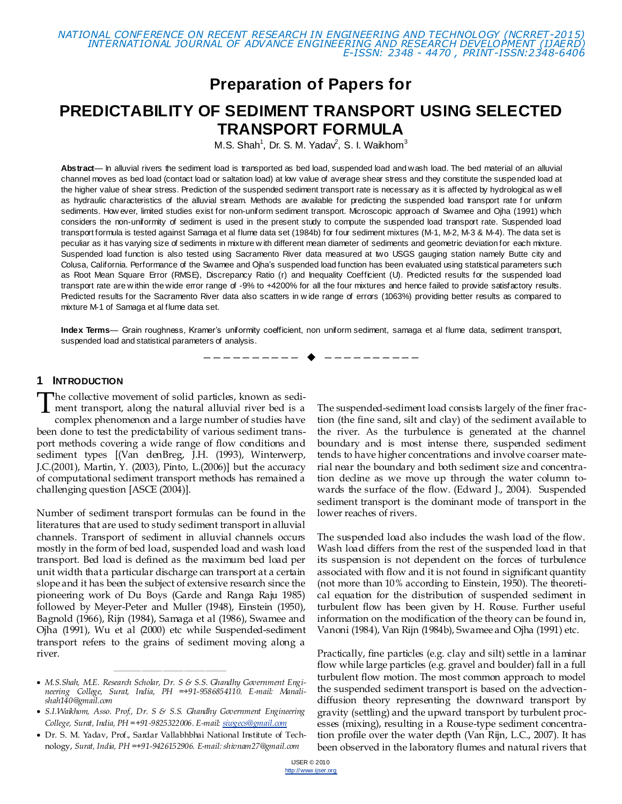## **Preparation of Papers for**

# **PREDICTABILITY OF SEDIMENT TRANSPORT USING SELECTED TRANSPORT FORMULA**

M.S. Shah<sup>1</sup>, Dr. S. M. Yadav<sup>2</sup>, S. I. Waikhom<sup>3</sup>

**Abstract**— In alluvial rivers the sediment load is transported as bed load, suspended load and wash load. The bed material of an alluvial channel moves as bed load (contact load or saltation load) at low value of average shear stress and they constitute the suspended load at the higher value of shear stress. Prediction of the suspended sediment transport rate is necessary as it is affected by hydrological as w ell as hydraulic characteristics of the alluvial stream. Methods are available for predicting the suspended load transport rate for uniform sediments. How ever, limited studies exist for non-uniform sediment transport. Microscopic approach of Swamee and Ojha (1991) which considers the non-uniformity of sediment is used in the present study to compute the suspended load transport rate. Suspended load transport formula is tested against Samaga et al flume data set (1984b) for four sediment mixtures (M-1, M-2, M-3 & M-4). The data set is peculiar as it has varying size of sediments in mixture w ith different mean diameter of sediments and geometric deviation for each mixture. Suspended load function is also tested using Sacramento River data measured at two USGS gauging station namely Butte city and Colusa, California. Performance of the Swamee and Ojha's suspended load function has been evaluated using statistical parameters such as Root Mean Square Error (RMSE), Discrepancy Ratio (r) and Inequality Coefficient (U). Predicted results for the suspended load transport rate are w ithin the wide error range of -9% to +4200% for all the four mixtures and hence failed to provide satisfactory results. Predicted results for the Sacramento River data also scatters in w ide range of errors (1063%) providing better results as compared to mixture M-1 of Samaga et al flume data set.

**Index Terms**— Grain roughness, Kramer's uniformity coefficient, non uniform sediment, samaga et al flume data, sediment transport, suspended load and statistical parameters of analysis.

—————————— ——————————

### **1 INTRODUCTION**

The collective movement of solid particles, known as sedi-The collective movement of solid particles, known as sedi-<br>ment transport, along the natural alluvial river bed is a<br>complex phonomenon and a large number of studies have complex phenomenon and a large number of studies have been done to test the predictability of various sediment transport methods covering a wide range of flow conditions and sediment types [(Van denBreg, J.H. (1993), Winterwerp, J.C.(2001), Martin, Y. (2003), Pinto, L.(2006)] but the accuracy of computational sediment transport methods has remained a challenging question [ASCE (2004)].

Number of sediment transport formulas can be found in the literatures that are used to study sediment transport in alluvial channels. Transport of sediment in alluvial channels occurs mostly in the form of bed load, suspended load and wash load transport. Bed load is defined as the maximum bed load per unit width that a particular discharge can transport at a certain slope and it has been the subject of extensive research since the pioneering work of Du Boys (Garde and Ranga Raju 1985) followed by Meyer-Peter and Muller (1948), Einstein (1950), Bagnold (1966), Rijn (1984), Samaga et al (1986), Swamee and Ojha (1991), Wu et al (2000) etc while Suspended-sediment transport refers to the grains of sediment moving along a river.

————————————————

The suspended-sediment load consists largely of the finer fraction (the fine sand, silt and clay) of the sediment available to the river. As the turbulence is generated at the channel boundary and is most intense there, suspended sediment tends to have higher concentrations and involve coarser material near the boundary and both sediment size and concentration decline as we move up through the water column towards the surface of the flow. (Edward J., 2004). Suspended sediment transport is the dominant mode of transport in the lower reaches of rivers.

The suspended load also includes the wash load of the flow. Wash load differs from the rest of the suspended load in that its suspension is not dependent on the forces of turbulence associated with flow and it is not found in significant quantity (not more than 10% according to Einstein, 1950). The theoretical equation for the distribution of suspended sediment in turbulent flow has been given by H. Rouse. Further useful information on the modification of the theory can be found in, Vanoni (1984), Van Rijn (1984b), Swamee and Ojha (1991) etc.

Practically, fine particles (e.g. clay and silt) settle in a laminar flow while large particles (e.g. gravel and boulder) fall in a full turbulent flow motion. The most common approach to model the suspended sediment transport is based on the advectiondiffusion theory representing the downward transport by gravity (settling) and the upward transport by turbulent processes (mixing), resulting in a Rouse-type sediment concentration profile over the water depth (Van Rijn, L.C., 2007). It has been observed in the laboratory flumes and natural rivers that

*M.S.Shah, M.E. Research Scholar, Dr. S & S.S. Ghandhy Government Engineering College, Surat, India, PH =+91-9586854110. E-mail: Manalishah140@gmail.com*

*S.I.Waikhom, Asso. Prof., Dr. S & S.S. Ghandhy Government Engineering College, Surat, India, PH =+91-9825322006. E-mail[: siwgecs@gmail.com](mailto:siwgecs@gmail.com)*

Dr. S. M. Yadav, Prof., Sardar Vallabhbhai National Institute of Technology, *Surat, India, PH =+91-9426152906. E-mail: shivnam27@gmail.com*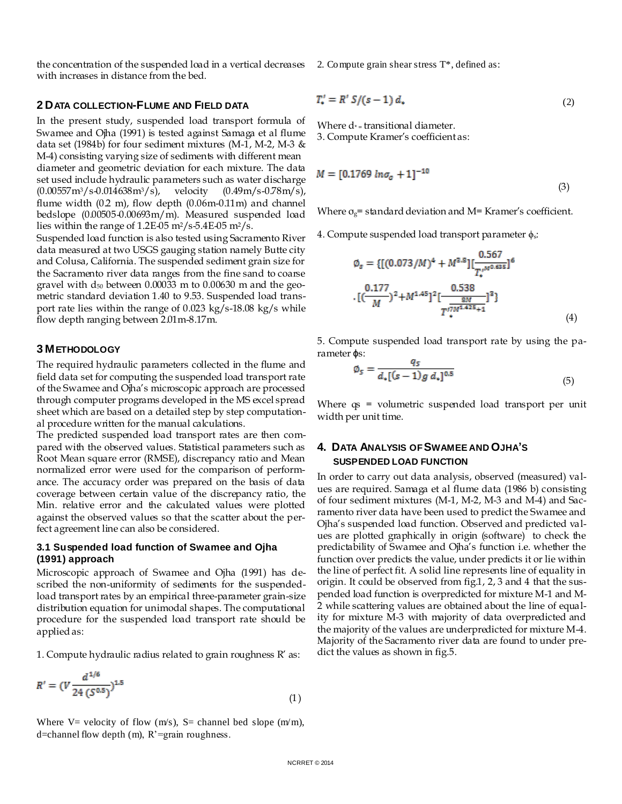the concentration of the suspended load in a vertical decreases with increases in distance from the bed.

#### **2 DATA COLLECTION-FLUME AND FIELD DATA**

In the present study, suspended load transport formula of Swamee and Ojha (1991) is tested against Samaga et al flume data set (1984b) for four sediment mixtures (M-1, M-2, M-3 & M-4) consisting varying size of sediments with different mean diameter and geometric deviation for each mixture. The data set used include hydraulic parameters such as water discharge  $(0.00557 \text{m}^3/\text{s}-0.014638 \text{m}^3/\text{s})$ , velocity  $(0.49 \text{m/s}-0.78 \text{m/s})$ , flume width  $(0.2 \text{ m})$ , flow depth  $(0.06 \text{ m} \text{-} 0.11 \text{ m})$  and channel bedslope (0.00505-0.00693m/m). Measured suspended load lies within the range of  $1.2E-05$  m<sup>2</sup>/s-5.4E-05 m<sup>2</sup>/s.

Suspended load function is also tested using Sacramento River data measured at two USGS gauging station namely Butte city and Colusa, California. The suspended sediment grain size for the Sacramento river data ranges from the fine sand to coarse gravel with  $d_{50}$  between 0.00033 m to 0.00630 m and the geometric standard deviation 1.40 to 9.53. Suspended load transport rate lies within the range of 0.023 kg/s-18.08 kg/s while flow depth ranging between 2.01m-8.17m.

#### **3 METHODOLOGY**

The required hydraulic parameters collected in the flume and field data set for computing the suspended load transport rate of the Swamee and Ojha's microscopic approach are processed through computer programs developed in the MS excel spread sheet which are based on a detailed step by step computational procedure written for the manual calculations.

The predicted suspended load transport rates are then compared with the observed values. Statistical parameters such as Root Mean square error (RMSE), discrepancy ratio and Mean normalized error were used for the comparison of performance. The accuracy order was prepared on the basis of data coverage between certain value of the discrepancy ratio, the Min. relative error and the calculated values were plotted against the observed values so that the scatter about the perfect agreement line can also be considered.

#### **3.1 Suspended load function of Swamee and Ojha (1991) approach**

Microscopic approach of Swamee and Ojha (1991) has described the non-uniformity of sediments for the suspendedload transport rates by an empirical three-parameter grain-size distribution equation for unimodal shapes. The computational procedure for the suspended load transport rate should be applied as:

1. Compute hydraulic radius related to grain roughness R' as:

$$
R' = (V \frac{d^{1/6}}{24 (S^{0.5})})^{1.5}
$$
 (1)

Where V= velocity of flow  $(m/s)$ , S= channel bed slope  $(m/m)$ , d=channel flow depth (m), R'=grain roughness.

2. Compute grain shear stress T\*, defined as:

$$
T'_{\bullet} = R' S / (s - 1) d_{\bullet} \tag{2}
$$

Where  $d_{\uparrow}$  transitional diameter. 3. Compute Kramer's coefficient as:

$$
M = [0.1769 \ln \sigma_a + 1]^{-10}
$$
\n(3)

Where  $\sigma_{g}$  = standard deviation and M = Kramer's coefficient.

4. Compute suspended load transport parameter ϕs:

$$
\emptyset_s = \{[(0.073/M)^4 + M^{3.8}][\frac{0.567}{T_s^{1/M^{0.635}}}]^6
$$

$$
\cdot [(\frac{0.177}{M})^2 + M^{1.45}]^2 [\frac{0.538}{T_s^{17M^{1.425}+1}}]^3
$$
 (4)

5. Compute suspended load transport rate by using the parameter ϕs:

$$
\emptyset_{S} = \frac{q_{S}}{d_{\star}[(s-1)g \, d_{\star}]^{0.5}}
$$
\n(5)

Where qs = volumetric suspended load transport per unit width per unit time.

## **4. DATA ANALYSIS OF SWAMEE AND OJHA'S SUSPENDED LOAD FUNCTION**

In order to carry out data analysis, observed (measured) values are required. Samaga et al flume data (1986 b) consisting of four sediment mixtures (M-1, M-2, M-3 and M-4) and Sacramento river data have been used to predict the Swamee and Ojha's suspended load function. Observed and predicted values are plotted graphically in origin (software) to check the predictability of Swamee and Ojha's function i.e. whether the function over predicts the value, under predicts it or lie within the line of perfect fit. A solid line represents line of equality in origin. It could be observed from fig.1, 2, 3 and 4 that the suspended load function is overpredicted for mixture M-1 and M-2 while scattering values are obtained about the line of equality for mixture M-3 with majority of data overpredicted and the majority of the values are underpredicted for mixture M-4. Majority of the Sacramento river data are found to under predict the values as shown in fig.5.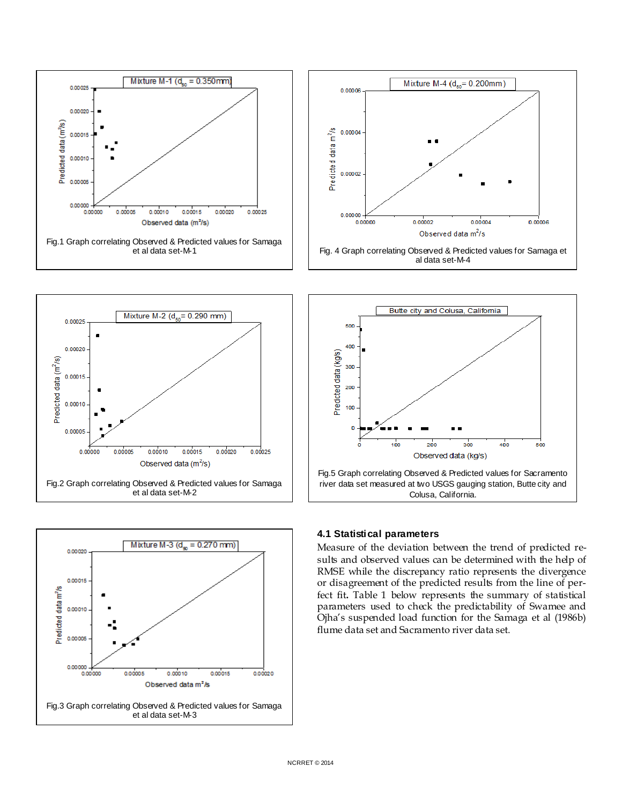

et al data set-M-2



### **4.1 Statistical parameters**

Measure of the deviation between the trend of predicted results and observed values can be determined with the help of RMSE while the discrepancy ratio represents the divergence or disagreement of the predicted results from the line of perfect fit**.** Table 1 below represents the summary of statistical parameters used to check the predictability of Swamee and Ojha's suspended load function for the Samaga et al (1986b) flume data set and Sacramento river data set.

Colusa, California.